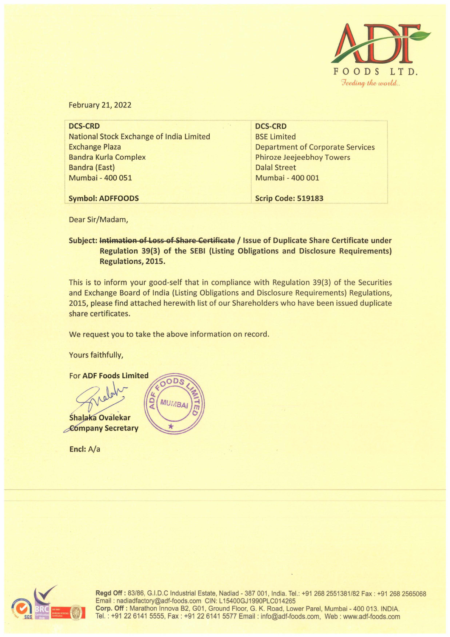

February 21, 2022

| <b>DCS-CRD</b>                           | <b>DCS-CRD</b>                          |
|------------------------------------------|-----------------------------------------|
| National Stock Exchange of India Limited | <b>BSE Limited</b>                      |
| <b>Exchange Plaza</b>                    | <b>Department of Corporate Services</b> |
| <b>Bandra Kurla Complex</b>              | <b>Phiroze Jeejeebhoy Towers</b>        |
| <b>Bandra (East)</b>                     | <b>Dalal Street</b>                     |
| Mumbai - 400 051                         | Mumbai - 400 001                        |
|                                          |                                         |
| <b>Symbol: ADFFOODS</b>                  | <b>Scrip Code: 519183</b>               |
|                                          |                                         |

Dear Sir/Madam,

Subject: Intimation of Loss of Share Certificate / Issue of Duplicate Share Certificate under **Regulation 39{3) of the SEBI (Listing Obligations and Disclosure Requirements) Regulations, 2015.** 

This is to inform your good-self that in compliance with Regulation 39(3) of the Securities and Exchange Board of India (Listing Obligations and Disclosure Requirements) Regulations, 2015, please find attached herewith list of our Shareholders who have been issued duplicate share certificates.

We request you to take the above information on record.

Yours faithfully,



**Encl:** A/a



**Regd Off:** 83/86, G.I.D.C Industrial Estate, Nadiad - 387 001, India. Tel.: +912682551381/82 Fax: +912682565068 Email: nadiadfactory@adf-foods.com CIN: L 15400GJ1990PLC014265 **Corp. Off:** Marathon lnnova 82, G01, Ground Floor, G. K. Road, Lower Parel, Mumbai - 400 013. INDIA. Tel. : +91226141 5555, Fax: +91226141 5577 Email: info@adf-foods.com, Web : www.adf-foods.com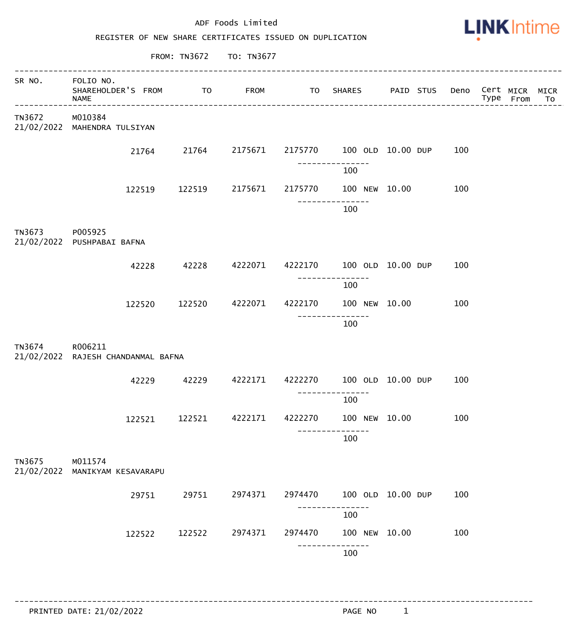|                      | ADF Foods Limited<br>REGISTER OF NEW SHARE CERTIFICATES ISSUED ON DUPLICATION |        |                         |         |                           |  |  |                               |  | <b>LINK</b> Intime |           |  |  |  |  |
|----------------------|-------------------------------------------------------------------------------|--------|-------------------------|---------|---------------------------|--|--|-------------------------------|--|--------------------|-----------|--|--|--|--|
|                      |                                                                               |        | FROM: TN3672 TO: TN3677 |         |                           |  |  |                               |  |                    |           |  |  |  |  |
| SR NO.               | FOLIO NO.<br>SHAREHOLDER'S FROM<br>NAME                                       | TO     |                         |         | FROM TO SHARES            |  |  | PAID STUS Deno Cert MICR MICR |  | Type From          | <b>TO</b> |  |  |  |  |
| TN3672               | M010384<br>21/02/2022 MAHENDRA TULSIYAN                                       |        |                         |         |                           |  |  |                               |  |                    |           |  |  |  |  |
|                      | 21764                                                                         | 21764  | 2175671                 |         | 2175770 100 OLD 10.00 DUP |  |  | 100                           |  |                    |           |  |  |  |  |
|                      |                                                                               |        |                         |         | 100                       |  |  |                               |  |                    |           |  |  |  |  |
|                      | 122519                                                                        | 122519 | 2175671                 | 2175770 | 100 NEW 10.00             |  |  | 100                           |  |                    |           |  |  |  |  |
|                      |                                                                               |        |                         |         | 100                       |  |  |                               |  |                    |           |  |  |  |  |
| TN3673               | P005925<br>21/02/2022 PUSHPABAI BAFNA                                         |        |                         |         |                           |  |  |                               |  |                    |           |  |  |  |  |
|                      | 42228                                                                         | 42228  | 4222071                 | 4222170 | 100 OLD 10.00 DUP         |  |  | 100                           |  |                    |           |  |  |  |  |
|                      | 122520                                                                        | 122520 | 4222071                 | 4222170 | 100<br>100 NEW 10.00      |  |  | 100                           |  |                    |           |  |  |  |  |
|                      |                                                                               |        |                         |         | 100                       |  |  |                               |  |                    |           |  |  |  |  |
| TN3674               | R006211<br>21/02/2022 RAJESH CHANDANMAL BAFNA                                 |        |                         |         |                           |  |  |                               |  |                    |           |  |  |  |  |
|                      | 42229                                                                         | 42229  | 4222171                 | 4222270 | 100 OLD 10.00 DUP         |  |  | 100                           |  |                    |           |  |  |  |  |
|                      |                                                                               |        |                         |         | 100                       |  |  |                               |  |                    |           |  |  |  |  |
|                      | 122521                                                                        | 122521 | 4222171                 | 4222270 | 100 NEW 10.00             |  |  | 100                           |  |                    |           |  |  |  |  |
|                      |                                                                               |        |                         |         | 100                       |  |  |                               |  |                    |           |  |  |  |  |
| TN3675<br>21/02/2022 | M011574<br>MANIKYAM KESAVARAPU                                                |        |                         |         |                           |  |  |                               |  |                    |           |  |  |  |  |
|                      | 29751                                                                         | 29751  | 2974371                 | 2974470 | 100 OLD 10.00 DUP         |  |  | 100                           |  |                    |           |  |  |  |  |
|                      |                                                                               |        |                         |         | 100                       |  |  |                               |  |                    |           |  |  |  |  |
|                      | 122522                                                                        | 122522 | 2974371                 | 2974470 | 100 NEW 10.00             |  |  | 100                           |  |                    |           |  |  |  |  |
|                      |                                                                               |        |                         |         | 100                       |  |  |                               |  |                    |           |  |  |  |  |

------------------------------------------------------------------------------------------------------------